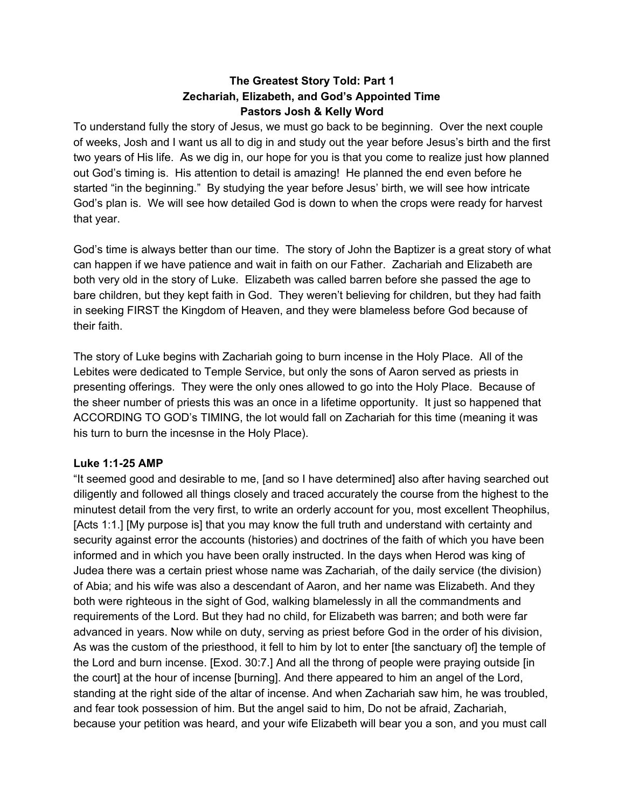# **The Greatest Story Told: Part 1 Zechariah, Elizabeth, and God's Appointed Time Pastors Josh & Kelly Word**

To understand fully the story of Jesus, we must go back to be beginning. Over the next couple of weeks, Josh and I want us all to dig in and study out the year before Jesus's birth and the first two years of His life. As we dig in, our hope for you is that you come to realize just how planned out God's timing is. His attention to detail is amazing! He planned the end even before he started "in the beginning." By studying the year before Jesus' birth, we will see how intricate God's plan is. We will see how detailed God is down to when the crops were ready for harvest that year.

God's time is always better than our time. The story of John the Baptizer is a great story of what can happen if we have patience and wait in faith on our Father. Zachariah and Elizabeth are both very old in the story of Luke. Elizabeth was called barren before she passed the age to bare children, but they kept faith in God. They weren't believing for children, but they had faith in seeking FIRST the Kingdom of Heaven, and they were blameless before God because of their faith.

The story of Luke begins with Zachariah going to burn incense in the Holy Place. All of the Lebites were dedicated to Temple Service, but only the sons of Aaron served as priests in presenting offerings. They were the only ones allowed to go into the Holy Place. Because of the sheer number of priests this was an once in a lifetime opportunity. It just so happened that ACCORDING TO GOD's TIMING, the lot would fall on Zachariah for this time (meaning it was his turn to burn the incesnse in the Holy Place).

#### **Luke 1:125 AMP**

"It seemed good and desirable to me, [and so I have determined] also after having searched out diligently and followed all things closely and traced accurately the course from the highest to the minutest detail from the very first, to write an orderly account for you, most excellent Theophilus, [Acts 1:1.] [My purpose is] that you may know the full truth and understand with certainty and security against error the accounts (histories) and doctrines of the faith of which you have been informed and in which you have been orally instructed. In the days when Herod was king of Judea there was a certain priest whose name was Zachariah, of the daily service (the division) of Abia; and his wife was also a descendant of Aaron, and her name was Elizabeth. And they both were righteous in the sight of God, walking blamelessly in all the commandments and requirements of the Lord. But they had no child, for Elizabeth was barren; and both were far advanced in years. Now while on duty, serving as priest before God in the order of his division, As was the custom of the priesthood, it fell to him by lot to enter [the sanctuary of] the temple of the Lord and burn incense. [Exod. 30:7.] And all the throng of people were praying outside [in the court] at the hour of incense [burning]. And there appeared to him an angel of the Lord, standing at the right side of the altar of incense. And when Zachariah saw him, he was troubled, and fear took possession of him. But the angel said to him, Do not be afraid, Zachariah, because your petition was heard, and your wife Elizabeth will bear you a son, and you must call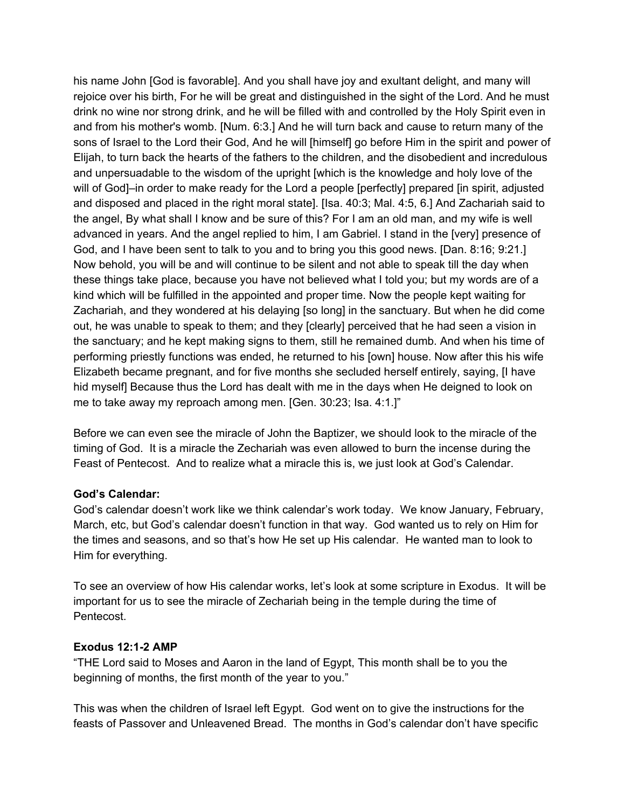his name John [God is favorable]. And you shall have joy and exultant delight, and many will rejoice over his birth, For he will be great and distinguished in the sight of the Lord. And he must drink no wine nor strong drink, and he will be filled with and controlled by the Holy Spirit even in and from his mother's womb. [Num. 6:3.] And he will turn back and cause to return many of the sons of Israel to the Lord their God, And he will [himself] go before Him in the spirit and power of Elijah, to turn back the hearts of the fathers to the children, and the disobedient and incredulous and unpersuadable to the wisdom of the upright [which is the knowledge and holy love of the will of God]–in order to make ready for the Lord a people [perfectly] prepared [in spirit, adjusted and disposed and placed in the right moral state]. [Isa. 40:3; Mal. 4:5, 6.] And Zachariah said to the angel, By what shall I know and be sure of this? For I am an old man, and my wife is well advanced in years. And the angel replied to him, I am Gabriel. I stand in the [very] presence of God, and I have been sent to talk to you and to bring you this good news. [Dan. 8:16; 9:21.] Now behold, you will be and will continue to be silent and not able to speak till the day when these things take place, because you have not believed what I told you; but my words are of a kind which will be fulfilled in the appointed and proper time. Now the people kept waiting for Zachariah, and they wondered at his delaying [so long] in the sanctuary. But when he did come out, he was unable to speak to them; and they [clearly] perceived that he had seen a vision in the sanctuary; and he kept making signs to them, still he remained dumb. And when his time of performing priestly functions was ended, he returned to his [own] house. Now after this his wife Elizabeth became pregnant, and for five months she secluded herself entirely, saying, [I have hid myself] Because thus the Lord has dealt with me in the days when He deigned to look on me to take away my reproach among men. [Gen. 30:23; Isa. 4:1.]"

Before we can even see the miracle of John the Baptizer, we should look to the miracle of the timing of God. It is a miracle the Zechariah was even allowed to burn the incense during the Feast of Pentecost. And to realize what a miracle this is, we just look at God's Calendar.

#### **God's Calendar:**

God's calendar doesn't work like we think calendar's work today. We know January, February, March, etc, but God's calendar doesn't function in that way. God wanted us to rely on Him for the times and seasons, and so that's how He set up His calendar. He wanted man to look to Him for everything.

To see an overview of how His calendar works, let's look at some scripture in Exodus. It will be important for us to see the miracle of Zechariah being in the temple during the time of Pentecost.

#### **Exodus 12:12 AMP**

"THE Lord said to Moses and Aaron in the land of Egypt, This month shall be to you the beginning of months, the first month of the year to you."

This was when the children of Israel left Egypt. God went on to give the instructions for the feasts of Passover and Unleavened Bread. The months in God's calendar don't have specific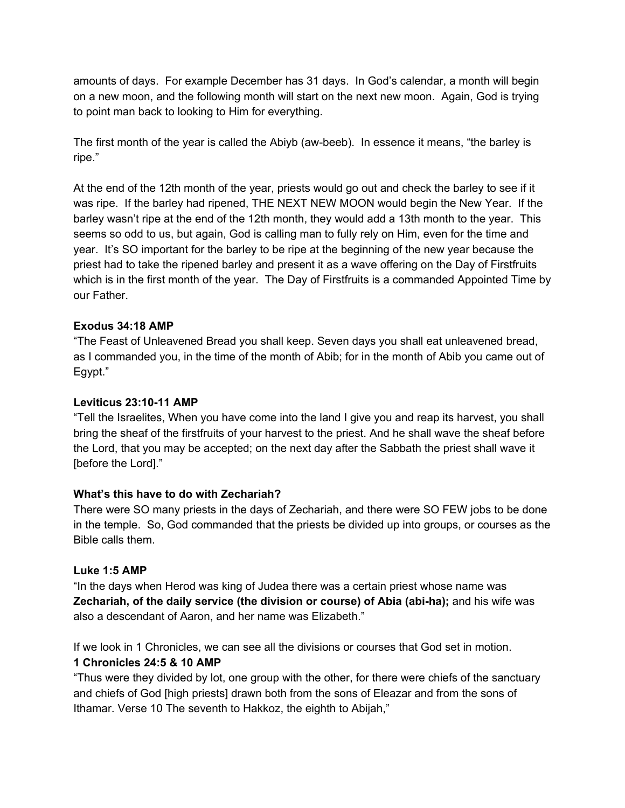amounts of days. For example December has 31 days. In God's calendar, a month will begin on a new moon, and the following month will start on the next new moon. Again, God is trying to point man back to looking to Him for everything.

The first month of the year is called the Abiyb (awbeeb). In essence it means, "the barley is ripe."

At the end of the 12th month of the year, priests would go out and check the barley to see if it was ripe. If the barley had ripened, THE NEXT NEW MOON would begin the New Year. If the barley wasn't ripe at the end of the 12th month, they would add a 13th month to the year. This seems so odd to us, but again, God is calling man to fully rely on Him, even for the time and year. It's SO important for the barley to be ripe at the beginning of the new year because the priest had to take the ripened barley and present it as a wave offering on the Day of Firstfruits which is in the first month of the year. The Day of Firstfruits is a commanded Appointed Time by our Father.

### **Exodus 34:18 AMP**

"The Feast of Unleavened Bread you shall keep. Seven days you shall eat unleavened bread, as I commanded you, in the time of the month of Abib; for in the month of Abib you came out of Egypt."

#### **Leviticus 23:1011 AMP**

"Tell the Israelites, When you have come into the land I give you and reap its harvest, you shall bring the sheaf of the firstfruits of your harvest to the priest. And he shall wave the sheaf before the Lord, that you may be accepted; on the next day after the Sabbath the priest shall wave it [before the Lord]."

## **What's this have to do with Zechariah?**

There were SO many priests in the days of Zechariah, and there were SO FEW jobs to be done in the temple. So, God commanded that the priests be divided up into groups, or courses as the Bible calls them.

#### **Luke 1:5 AMP**

"In the days when Herod was king of Judea there was a certain priest whose name was **Zechariah, of the daily service (the division or course) of Abia (abiha);**and his wife was also a descendant of Aaron, and her name was Elizabeth."

If we look in 1 Chronicles, we can see all the divisions or courses that God set in motion.

## **1 Chronicles 24:5 & 10 AMP**

"Thus were they divided by lot, one group with the other, for there were chiefs of the sanctuary and chiefs of God [high priests] drawn both from the sons of Eleazar and from the sons of Ithamar. Verse 10 The seventh to Hakkoz, the eighth to Abijah,"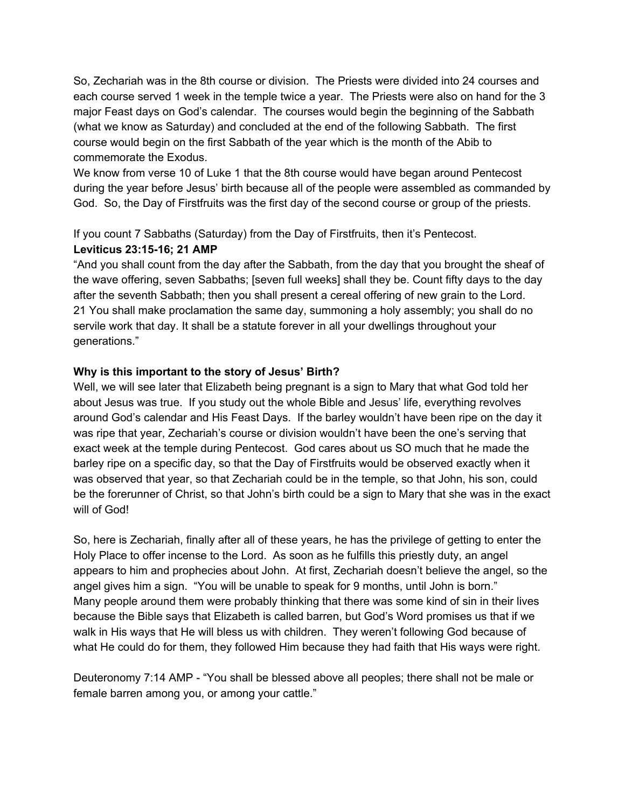So, Zechariah was in the 8th course or division. The Priests were divided into 24 courses and each course served 1 week in the temple twice a year. The Priests were also on hand for the 3 major Feast days on God's calendar. The courses would begin the beginning of the Sabbath (what we know as Saturday) and concluded at the end of the following Sabbath. The first course would begin on the first Sabbath of the year which is the month of the Abib to commemorate the Exodus.

We know from verse 10 of Luke 1 that the 8th course would have began around Pentecost during the year before Jesus' birth because all of the people were assembled as commanded by God. So, the Day of Firstfruits was the first day of the second course or group of the priests.

If you count 7 Sabbaths (Saturday) from the Day of Firstfruits, then it's Pentecost. **Leviticus 23:1516; 21 AMP**

"And you shall count from the day after the Sabbath, from the day that you brought the sheaf of the wave offering, seven Sabbaths; [seven full weeks] shall they be. Count fifty days to the day after the seventh Sabbath; then you shall present a cereal offering of new grain to the Lord. 21 You shall make proclamation the same day, summoning a holy assembly; you shall do no servile work that day. It shall be a statute forever in all your dwellings throughout your generations."

### **Why is this important to the story of Jesus' Birth?**

Well, we will see later that Elizabeth being pregnant is a sign to Mary that what God told her about Jesus was true. If you study out the whole Bible and Jesus' life, everything revolves around God's calendar and His Feast Days. If the barley wouldn't have been ripe on the day it was ripe that year, Zechariah's course or division wouldn't have been the one's serving that exact week at the temple during Pentecost. God cares about us SO much that he made the barley ripe on a specific day, so that the Day of Firstfruits would be observed exactly when it was observed that year, so that Zechariah could be in the temple, so that John, his son, could be the forerunner of Christ, so that John's birth could be a sign to Mary that she was in the exact will of God!

So, here is Zechariah, finally after all of these years, he has the privilege of getting to enter the Holy Place to offer incense to the Lord. As soon as he fulfills this priestly duty, an angel appears to him and prophecies about John. At first, Zechariah doesn't believe the angel, so the angel gives him a sign. "You will be unable to speak for 9 months, until John is born." Many people around them were probably thinking that there was some kind of sin in their lives because the Bible says that Elizabeth is called barren, but God's Word promises us that if we walk in His ways that He will bless us with children. They weren't following God because of what He could do for them, they followed Him because they had faith that His ways were right.

Deuteronomy 7:14 AMP - "You shall be blessed above all peoples; there shall not be male or female barren among you, or among your cattle."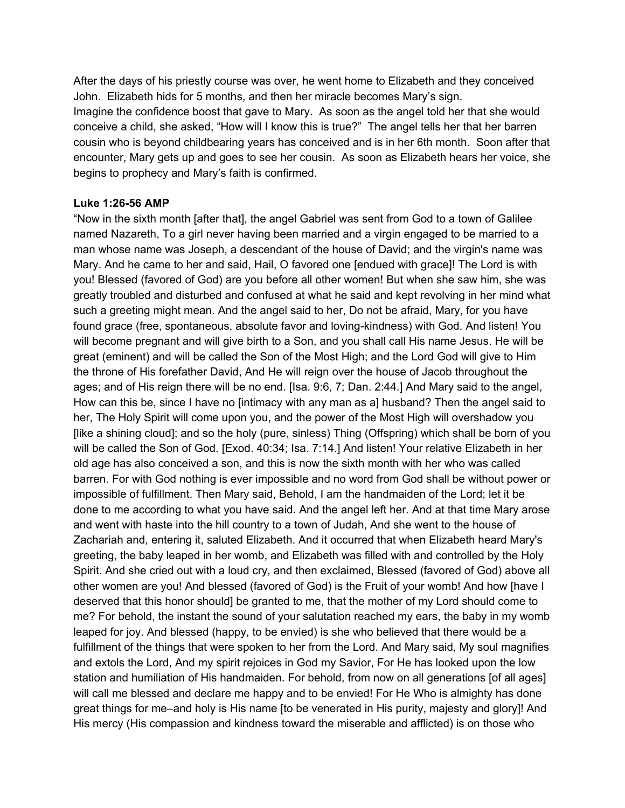After the days of his priestly course was over, he went home to Elizabeth and they conceived John. Elizabeth hids for 5 months, and then her miracle becomes Mary's sign. Imagine the confidence boost that gave to Mary. As soon as the angel told her that she would conceive a child, she asked, "How will I know this is true?" The angel tells her that her barren cousin who is beyond childbearing years has conceived and is in her 6th month. Soon after that encounter, Mary gets up and goes to see her cousin. As soon as Elizabeth hears her voice, she begins to prophecy and Mary's faith is confirmed.

#### **Luke 1:26-56 AMP**

"Now in the sixth month [after that], the angel Gabriel was sent from God to a town of Galilee named Nazareth, To a girl never having been married and a virgin engaged to be married to a man whose name was Joseph, a descendant of the house of David; and the virgin's name was Mary. And he came to her and said, Hail, O favored one [endued with grace]! The Lord is with you! Blessed (favored of God) are you before all other women! But when she saw him, she was greatly troubled and disturbed and confused at what he said and kept revolving in her mind what such a greeting might mean. And the angel said to her, Do not be afraid, Mary, for you have found grace (free, spontaneous, absolute favor and loving-kindness) with God. And listen! You will become pregnant and will give birth to a Son, and you shall call His name Jesus. He will be great (eminent) and will be called the Son of the Most High; and the Lord God will give to Him the throne of His forefather David, And He will reign over the house of Jacob throughout the ages; and of His reign there will be no end. [Isa. 9:6, 7; Dan. 2:44.] And Mary said to the angel, How can this be, since I have no [intimacy with any man as a] husband? Then the angel said to her, The Holy Spirit will come upon you, and the power of the Most High will overshadow you [like a shining cloud]; and so the holy (pure, sinless) Thing (Offspring) which shall be born of you will be called the Son of God. [Exod. 40:34; Isa. 7:14.] And listen! Your relative Elizabeth in her old age has also conceived a son, and this is now the sixth month with her who was called barren. For with God nothing is ever impossible and no word from God shall be without power or impossible of fulfillment. Then Mary said, Behold, I am the handmaiden of the Lord; let it be done to me according to what you have said. And the angel left her. And at that time Mary arose and went with haste into the hill country to a town of Judah, And she went to the house of Zachariah and, entering it, saluted Elizabeth. And it occurred that when Elizabeth heard Mary's greeting, the baby leaped in her womb, and Elizabeth was filled with and controlled by the Holy Spirit. And she cried out with a loud cry, and then exclaimed, Blessed (favored of God) above all other women are you! And blessed (favored of God) is the Fruit of your womb! And how [have I deserved that this honor should] be granted to me, that the mother of my Lord should come to me? For behold, the instant the sound of your salutation reached my ears, the baby in my womb leaped for joy. And blessed (happy, to be envied) is she who believed that there would be a fulfillment of the things that were spoken to her from the Lord. And Mary said, My soul magnifies and extols the Lord, And my spirit rejoices in God my Savior, For He has looked upon the low station and humiliation of His handmaiden. For behold, from now on all generations [of all ages] will call me blessed and declare me happy and to be envied! For He Who is almighty has done great things for me–and holy is His name [to be venerated in His purity, majesty and glory]! And His mercy (His compassion and kindness toward the miserable and afflicted) is on those who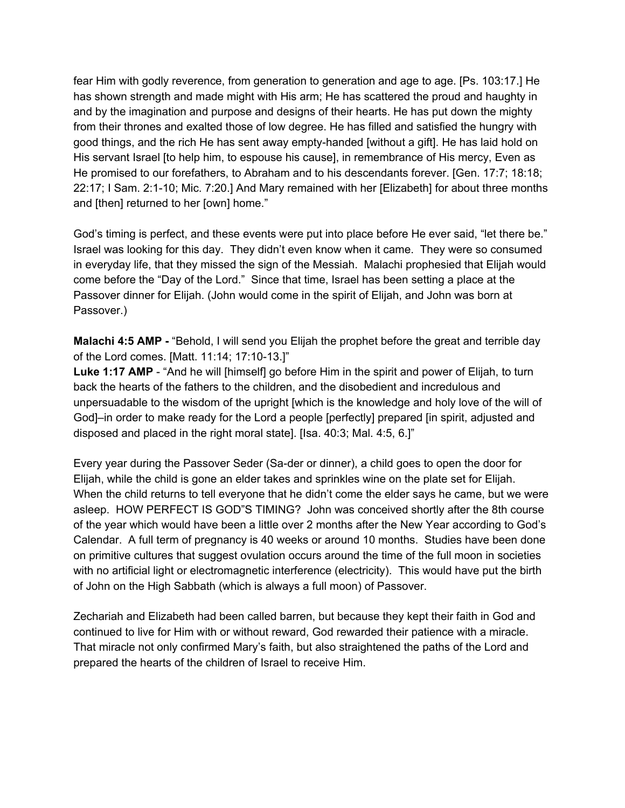fear Him with godly reverence, from generation to generation and age to age. [Ps. 103:17.] He has shown strength and made might with His arm; He has scattered the proud and haughty in and by the imagination and purpose and designs of their hearts. He has put down the mighty from their thrones and exalted those of low degree. He has filled and satisfied the hungry with good things, and the rich He has sent away empty-handed [without a gift]. He has laid hold on His servant Israel [to help him, to espouse his cause], in remembrance of His mercy, Even as He promised to our forefathers, to Abraham and to his descendants forever. [Gen. 17:7; 18:18; 22:17; I Sam. 2:110; Mic. 7:20.] And Mary remained with her [Elizabeth] for about three months and [then] returned to her [own] home."

God's timing is perfect, and these events were put into place before He ever said, "let there be." Israel was looking for this day. They didn't even know when it came. They were so consumed in everyday life, that they missed the sign of the Messiah. Malachi prophesied that Elijah would come before the "Day of the Lord." Since that time, Israel has been setting a place at the Passover dinner for Elijah. (John would come in the spirit of Elijah, and John was born at Passover.)

**Malachi 4:5 AMP** - "Behold, I will send you Elijah the prophet before the great and terrible day of the Lord comes. [Matt. 11:14; 17:10-13.]"

**Luke 1:17 AMP** - "And he will [himself] go before Him in the spirit and power of Elijah, to turn back the hearts of the fathers to the children, and the disobedient and incredulous and unpersuadable to the wisdom of the upright [which is the knowledge and holy love of the will of God]–in order to make ready for the Lord a people [perfectly] prepared [in spirit, adjusted and disposed and placed in the right moral state]. [Isa. 40:3; Mal. 4:5, 6.]"

Every year during the Passover Seder (Sa-der or dinner), a child goes to open the door for Elijah, while the child is gone an elder takes and sprinkles wine on the plate set for Elijah. When the child returns to tell everyone that he didn't come the elder says he came, but we were asleep. HOW PERFECT IS GOD"S TIMING? John was conceived shortly after the 8th course of the year which would have been a little over 2 months after the New Year according to God's Calendar. A full term of pregnancy is 40 weeks or around 10 months. Studies have been done on primitive cultures that suggest ovulation occurs around the time of the full moon in societies with no artificial light or electromagnetic interference (electricity). This would have put the birth of John on the High Sabbath (which is always a full moon) of Passover.

Zechariah and Elizabeth had been called barren, but because they kept their faith in God and continued to live for Him with or without reward, God rewarded their patience with a miracle. That miracle not only confirmed Mary's faith, but also straightened the paths of the Lord and prepared the hearts of the children of Israel to receive Him.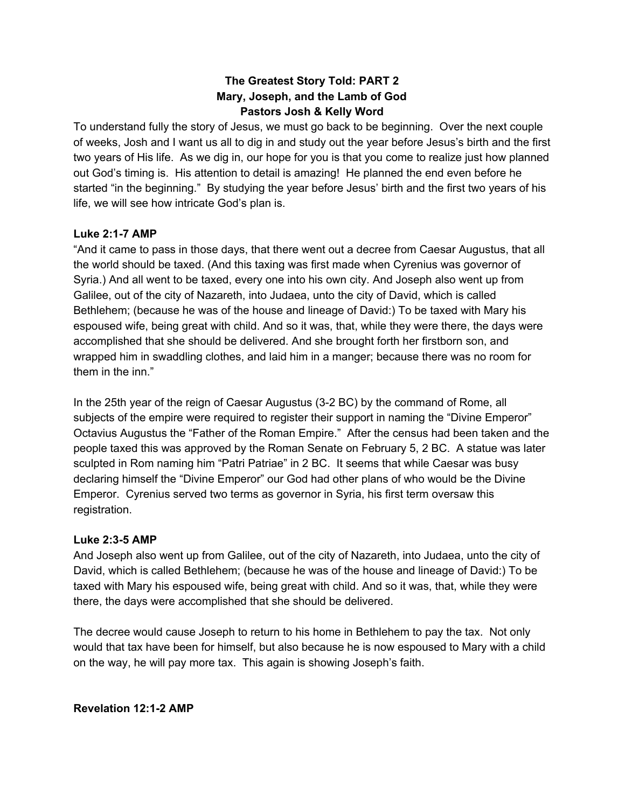# **The Greatest Story Told: PART 2 Mary, Joseph, and the Lamb of God Pastors Josh & Kelly Word**

To understand fully the story of Jesus, we must go back to be beginning. Over the next couple of weeks, Josh and I want us all to dig in and study out the year before Jesus's birth and the first two years of His life. As we dig in, our hope for you is that you come to realize just how planned out God's timing is. His attention to detail is amazing! He planned the end even before he started "in the beginning." By studying the year before Jesus' birth and the first two years of his life, we will see how intricate God's plan is.

### **Luke 2:17 AMP**

"And it came to pass in those days, that there went out a decree from Caesar Augustus, that all the world should be taxed. (And this taxing was first made when Cyrenius was governor of Syria.) And all went to be taxed, every one into his own city. And Joseph also went up from Galilee, out of the city of Nazareth, into Judaea, unto the city of David, which is called Bethlehem; (because he was of the house and lineage of David:) To be taxed with Mary his espoused wife, being great with child. And so it was, that, while they were there, the days were accomplished that she should be delivered. And she brought forth her firstborn son, and wrapped him in swaddling clothes, and laid him in a manger; because there was no room for them in the inn."

In the 25th year of the reign of Caesar Augustus (32 BC) by the command of Rome, all subjects of the empire were required to register their support in naming the "Divine Emperor" Octavius Augustus the "Father of the Roman Empire." After the census had been taken and the people taxed this was approved by the Roman Senate on February 5, 2 BC. A statue was later sculpted in Rom naming him "Patri Patriae" in 2 BC. It seems that while Caesar was busy declaring himself the "Divine Emperor" our God had other plans of who would be the Divine Emperor. Cyrenius served two terms as governor in Syria, his first term oversaw this registration.

#### **Luke 2:35 AMP**

And Joseph also went up from Galilee, out of the city of Nazareth, into Judaea, unto the city of David, which is called Bethlehem; (because he was of the house and lineage of David:) To be taxed with Mary his espoused wife, being great with child. And so it was, that, while they were there, the days were accomplished that she should be delivered.

The decree would cause Joseph to return to his home in Bethlehem to pay the tax. Not only would that tax have been for himself, but also because he is now espoused to Mary with a child on the way, he will pay more tax. This again is showing Joseph's faith.

**Revelation 12:12 AMP**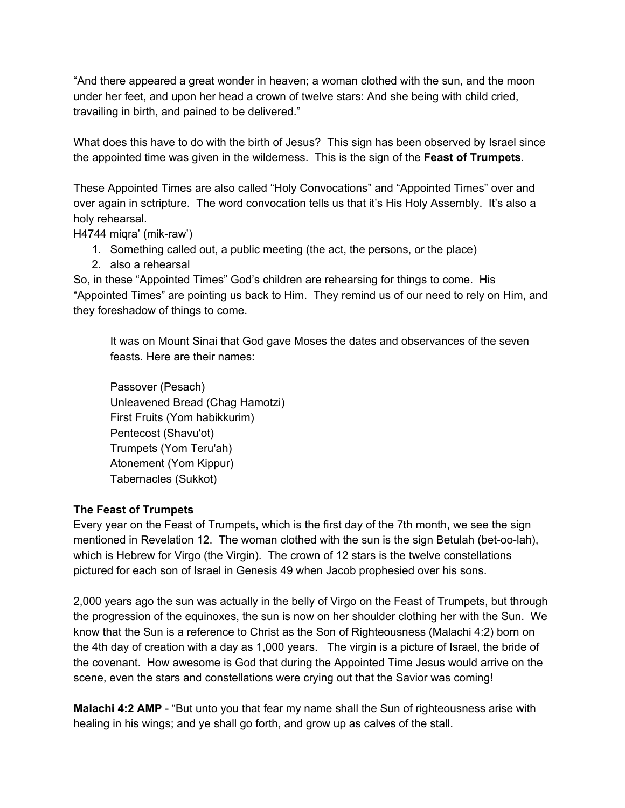"And there appeared a great wonder in heaven; a woman clothed with the sun, and the moon under her feet, and upon her head a crown of twelve stars: And she being with child cried, travailing in birth, and pained to be delivered."

What does this have to do with the birth of Jesus? This sign has been observed by Israel since the appointed time was given in the wilderness. This is the sign of the **Feast of Trumpets**.

These Appointed Times are also called "Holy Convocations" and "Appointed Times" over and over again in sctripture. The word convocation tells us that it's His Holy Assembly. It's also a holy rehearsal.

 $H4744$  migra' (mik-raw')

- 1. Something called out, a public meeting (the act, the persons, or the place)
- 2. also a rehearsal

So, in these "Appointed Times" God's children are rehearsing for things to come. His "Appointed Times" are pointing us back to Him. They remind us of our need to rely on Him, and they foreshadow of things to come.

It was on Mount Sinai that God gave Moses the dates and observances of the seven feasts. Here are their names:

Passover (Pesach) Unleavened Bread (Chag Hamotzi) First Fruits (Yom habikkurim) Pentecost (Shavu'ot) Trumpets (Yom Teru'ah) Atonement (Yom Kippur) Tabernacles (Sukkot)

## **The Feast of Trumpets**

Every year on the Feast of Trumpets, which is the first day of the 7th month, we see the sign mentioned in Revelation 12. The woman clothed with the sun is the sign Betulah (bet-oo-lah), which is Hebrew for Virgo (the Virgin). The crown of 12 stars is the twelve constellations pictured for each son of Israel in Genesis 49 when Jacob prophesied over his sons.

2,000 years ago the sun was actually in the belly of Virgo on the Feast of Trumpets, but through the progression of the equinoxes, the sun is now on her shoulder clothing her with the Sun. We know that the Sun is a reference to Christ as the Son of Righteousness (Malachi 4:2) born on the 4th day of creation with a day as 1,000 years. The virgin is a picture of Israel, the bride of the covenant. How awesome is God that during the Appointed Time Jesus would arrive on the scene, even the stars and constellations were crying out that the Savior was coming!

**Malachi 4:2 AMP** - "But unto you that fear my name shall the Sun of righteousness arise with healing in his wings; and ye shall go forth, and grow up as calves of the stall.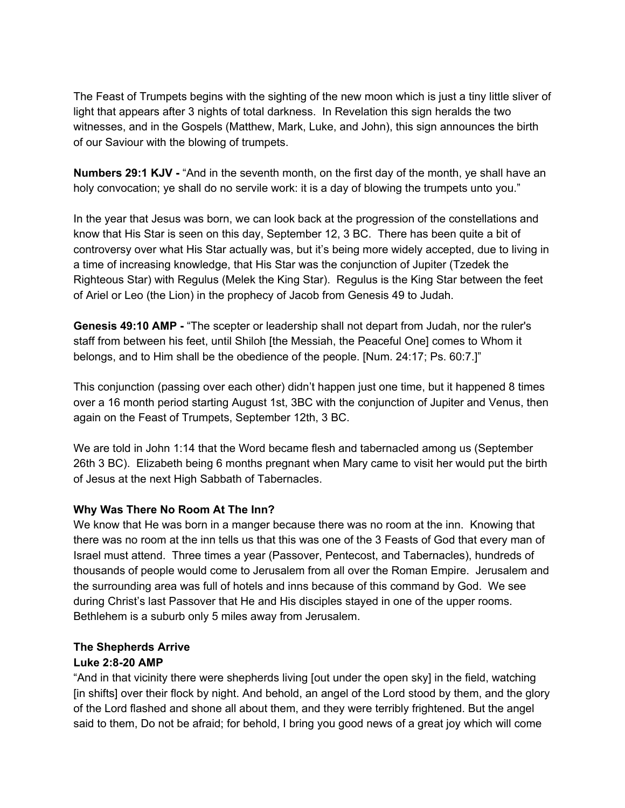The Feast of Trumpets begins with the sighting of the new moon which is just a tiny little sliver of light that appears after 3 nights of total darkness. In Revelation this sign heralds the two witnesses, and in the Gospels (Matthew, Mark, Luke, and John), this sign announces the birth of our Saviour with the blowing of trumpets.

**Numbers 29:1 KJV** "And in the seventh month, on the first day of the month, ye shall have an holy convocation; ye shall do no servile work: it is a day of blowing the trumpets unto you."

In the year that Jesus was born, we can look back at the progression of the constellations and know that His Star is seen on this day, September 12, 3 BC. There has been quite a bit of controversy over what His Star actually was, but it's being more widely accepted, due to living in a time of increasing knowledge, that His Star was the conjunction of Jupiter (Tzedek the Righteous Star) with Regulus (Melek the King Star). Regulus is the King Star between the feet of Ariel or Leo (the Lion) in the prophecy of Jacob from Genesis 49 to Judah.

**Genesis 49:10 AMP** "The scepter or leadership shall not depart from Judah, nor the ruler's staff from between his feet, until Shiloh [the Messiah, the Peaceful One] comes to Whom it belongs, and to Him shall be the obedience of the people. [Num. 24:17; Ps. 60:7.]"

This conjunction (passing over each other) didn't happen just one time, but it happened 8 times over a 16 month period starting August 1st, 3BC with the conjunction of Jupiter and Venus, then again on the Feast of Trumpets, September 12th, 3 BC.

We are told in John 1:14 that the Word became flesh and tabernacled among us (September 26th 3 BC). Elizabeth being 6 months pregnant when Mary came to visit her would put the birth of Jesus at the next High Sabbath of Tabernacles.

## **Why Was There No Room At The Inn?**

We know that He was born in a manger because there was no room at the inn. Knowing that there was no room at the inn tells us that this was one of the 3 Feasts of God that every man of Israel must attend. Three times a year (Passover, Pentecost, and Tabernacles), hundreds of thousands of people would come to Jerusalem from all over the Roman Empire. Jerusalem and the surrounding area was full of hotels and inns because of this command by God. We see during Christ's last Passover that He and His disciples stayed in one of the upper rooms. Bethlehem is a suburb only 5 miles away from Jerusalem.

## **The Shepherds Arrive**

## **Luke 2:820 AMP**

"And in that vicinity there were shepherds living [out under the open sky] in the field, watching [in shifts] over their flock by night. And behold, an angel of the Lord stood by them, and the glory of the Lord flashed and shone all about them, and they were terribly frightened. But the angel said to them, Do not be afraid; for behold, I bring you good news of a great joy which will come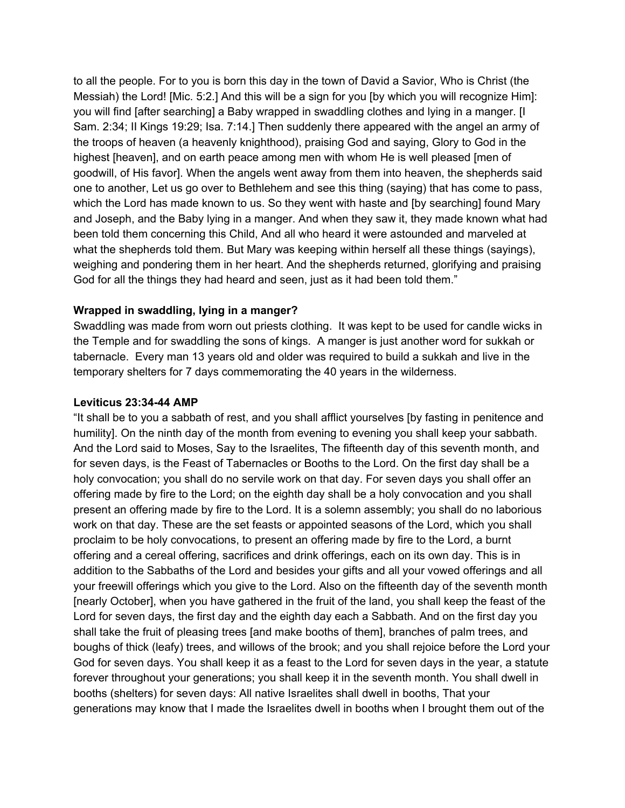to all the people. For to you is born this day in the town of David a Savior, Who is Christ (the Messiah) the Lord! [Mic. 5:2.] And this will be a sign for you [by which you will recognize Him]: you will find [after searching] a Baby wrapped in swaddling clothes and lying in a manger. [I Sam. 2:34; II Kings 19:29; Isa. 7:14.] Then suddenly there appeared with the angel an army of the troops of heaven (a heavenly knighthood), praising God and saying, Glory to God in the highest [heaven], and on earth peace among men with whom He is well pleased [men of goodwill, of His favor]. When the angels went away from them into heaven, the shepherds said one to another, Let us go over to Bethlehem and see this thing (saying) that has come to pass, which the Lord has made known to us. So they went with haste and [by searching] found Mary and Joseph, and the Baby lying in a manger. And when they saw it, they made known what had been told them concerning this Child, And all who heard it were astounded and marveled at what the shepherds told them. But Mary was keeping within herself all these things (sayings), weighing and pondering them in her heart. And the shepherds returned, glorifying and praising God for all the things they had heard and seen, just as it had been told them."

#### **Wrapped in swaddling, lying in a manger?**

Swaddling was made from worn out priests clothing. It was kept to be used for candle wicks in the Temple and for swaddling the sons of kings. A manger is just another word for sukkah or tabernacle. Every man 13 years old and older was required to build a sukkah and live in the temporary shelters for 7 days commemorating the 40 years in the wilderness.

#### **Leviticus 23:3444 AMP**

"It shall be to you a sabbath of rest, and you shall afflict yourselves [by fasting in penitence and humility]. On the ninth day of the month from evening to evening you shall keep your sabbath. And the Lord said to Moses, Say to the Israelites, The fifteenth day of this seventh month, and for seven days, is the Feast of Tabernacles or Booths to the Lord. On the first day shall be a holy convocation; you shall do no servile work on that day. For seven days you shall offer an offering made by fire to the Lord; on the eighth day shall be a holy convocation and you shall present an offering made by fire to the Lord. It is a solemn assembly; you shall do no laborious work on that day. These are the set feasts or appointed seasons of the Lord, which you shall proclaim to be holy convocations, to present an offering made by fire to the Lord, a burnt offering and a cereal offering, sacrifices and drink offerings, each on its own day. This is in addition to the Sabbaths of the Lord and besides your gifts and all your vowed offerings and all your freewill offerings which you give to the Lord. Also on the fifteenth day of the seventh month [nearly October], when you have gathered in the fruit of the land, you shall keep the feast of the Lord for seven days, the first day and the eighth day each a Sabbath. And on the first day you shall take the fruit of pleasing trees [and make booths of them], branches of palm trees, and boughs of thick (leafy) trees, and willows of the brook; and you shall rejoice before the Lord your God for seven days. You shall keep it as a feast to the Lord for seven days in the year, a statute forever throughout your generations; you shall keep it in the seventh month. You shall dwell in booths (shelters) for seven days: All native Israelites shall dwell in booths, That your generations may know that I made the Israelites dwell in booths when I brought them out of the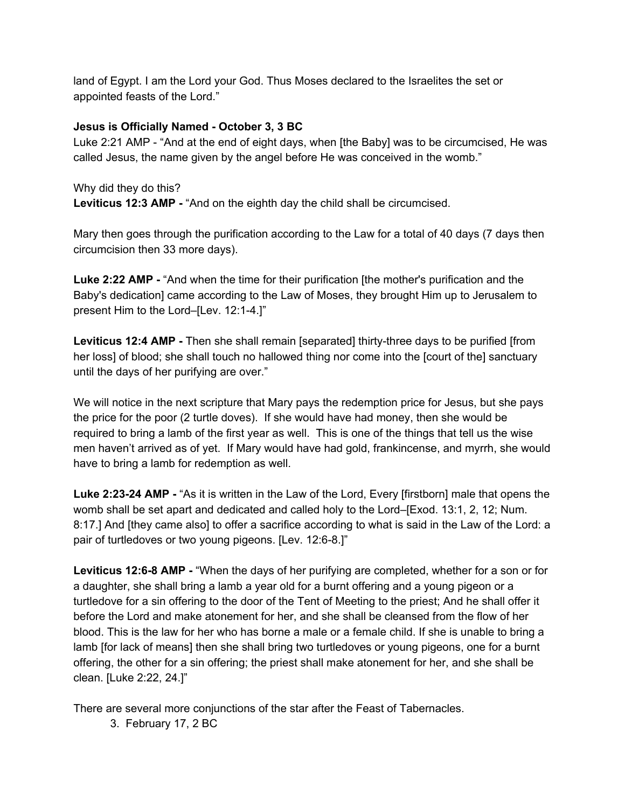land of Egypt. I am the Lord your God. Thus Moses declared to the Israelites the set or appointed feasts of the Lord."

### **Jesus is Officially Named October 3, 3 BC**

Luke 2:21 AMP - "And at the end of eight days, when [the Baby] was to be circumcised, He was called Jesus, the name given by the angel before He was conceived in the womb."

Why did they do this?

**Leviticus 12:3 AMP - "And on the eighth day the child shall be circumcised.** 

Mary then goes through the purification according to the Law for a total of 40 days (7 days then circumcision then 33 more days).

**Luke 2:22 AMP** "And when the time for their purification [the mother's purification and the Baby's dedication] came according to the Law of Moses, they brought Him up to Jerusalem to present Him to the Lord–[Lev. 12:1-4.]"

**Leviticus 12:4 AMP** - Then she shall remain [separated] thirty-three days to be purified [from her loss] of blood; she shall touch no hallowed thing nor come into the [court of the] sanctuary until the days of her purifying are over."

We will notice in the next scripture that Mary pays the redemption price for Jesus, but she pays the price for the poor (2 turtle doves). If she would have had money, then she would be required to bring a lamb of the first year as well. This is one of the things that tell us the wise men haven't arrived as of yet. If Mary would have had gold, frankincense, and myrrh, she would have to bring a lamb for redemption as well.

**Luke 2:2324 AMP** "As it is written in the Law of the Lord, Every [firstborn] male that opens the womb shall be set apart and dedicated and called holy to the Lord–[Exod. 13:1, 2, 12; Num. 8:17.] And [they came also] to offer a sacrifice according to what is said in the Law of the Lord: a pair of turtledoves or two young pigeons. [Lev. 12:6-8.]"

**Leviticus 12:68 AMP** "When the days of her purifying are completed, whether for a son or for a daughter, she shall bring a lamb a year old for a burnt offering and a young pigeon or a turtledove for a sin offering to the door of the Tent of Meeting to the priest; And he shall offer it before the Lord and make atonement for her, and she shall be cleansed from the flow of her blood. This is the law for her who has borne a male or a female child. If she is unable to bring a lamb [for lack of means] then she shall bring two turtledoves or young pigeons, one for a burnt offering, the other for a sin offering; the priest shall make atonement for her, and she shall be clean. [Luke 2:22, 24.]"

There are several more conjunctions of the star after the Feast of Tabernacles.

3. February 17, 2 BC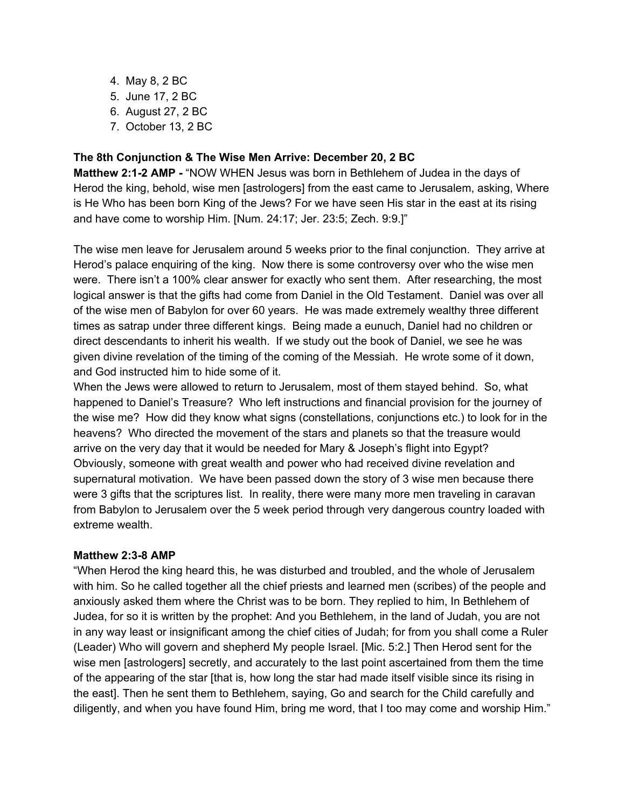- 4. May 8, 2 BC
- 5. June 17, 2 BC
- 6. August 27, 2 BC
- 7. October 13, 2 BC

### **The 8th Conjunction & The Wise Men Arrive: December 20, 2 BC**

**Matthew 2:1-2 AMP** - "NOW WHEN Jesus was born in Bethlehem of Judea in the days of Herod the king, behold, wise men [astrologers] from the east came to Jerusalem, asking, Where is He Who has been born King of the Jews? For we have seen His star in the east at its rising and have come to worship Him. [Num. 24:17; Jer. 23:5; Zech. 9:9.]"

The wise men leave for Jerusalem around 5 weeks prior to the final conjunction. They arrive at Herod's palace enquiring of the king. Now there is some controversy over who the wise men were. There isn't a 100% clear answer for exactly who sent them. After researching, the most logical answer is that the gifts had come from Daniel in the Old Testament. Daniel was over all of the wise men of Babylon for over 60 years. He was made extremely wealthy three different times as satrap under three different kings. Being made a eunuch, Daniel had no children or direct descendants to inherit his wealth. If we study out the book of Daniel, we see he was given divine revelation of the timing of the coming of the Messiah. He wrote some of it down, and God instructed him to hide some of it.

When the Jews were allowed to return to Jerusalem, most of them stayed behind. So, what happened to Daniel's Treasure? Who left instructions and financial provision for the journey of the wise me? How did they know what signs (constellations, conjunctions etc.) to look for in the heavens? Who directed the movement of the stars and planets so that the treasure would arrive on the very day that it would be needed for Mary & Joseph's flight into Egypt? Obviously, someone with great wealth and power who had received divine revelation and supernatural motivation. We have been passed down the story of 3 wise men because there were 3 gifts that the scriptures list. In reality, there were many more men traveling in caravan from Babylon to Jerusalem over the 5 week period through very dangerous country loaded with extreme wealth.

#### **Matthew 2:3-8 AMP**

"When Herod the king heard this, he was disturbed and troubled, and the whole of Jerusalem with him. So he called together all the chief priests and learned men (scribes) of the people and anxiously asked them where the Christ was to be born. They replied to him, In Bethlehem of Judea, for so it is written by the prophet: And you Bethlehem, in the land of Judah, you are not in any way least or insignificant among the chief cities of Judah; for from you shall come a Ruler (Leader) Who will govern and shepherd My people Israel. [Mic. 5:2.] Then Herod sent for the wise men [astrologers] secretly, and accurately to the last point ascertained from them the time of the appearing of the star [that is, how long the star had made itself visible since its rising in the east]. Then he sent them to Bethlehem, saying, Go and search for the Child carefully and diligently, and when you have found Him, bring me word, that I too may come and worship Him."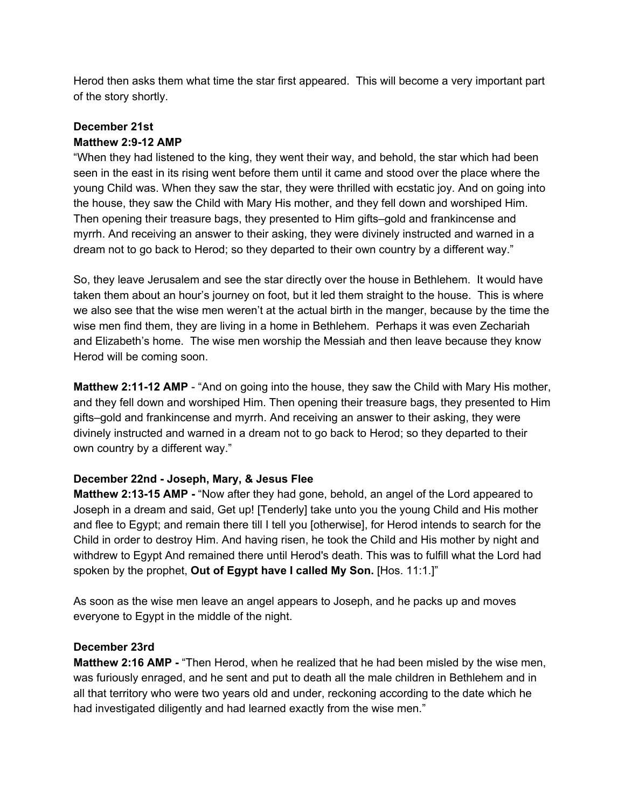Herod then asks them what time the star first appeared. This will become a very important part of the story shortly.

# **December 21st Matthew 2:912 AMP**

"When they had listened to the king, they went their way, and behold, the star which had been seen in the east in its rising went before them until it came and stood over the place where the young Child was. When they saw the star, they were thrilled with ecstatic joy. And on going into the house, they saw the Child with Mary His mother, and they fell down and worshiped Him. Then opening their treasure bags, they presented to Him gifts–gold and frankincense and myrrh. And receiving an answer to their asking, they were divinely instructed and warned in a dream not to go back to Herod; so they departed to their own country by a different way."

So, they leave Jerusalem and see the star directly over the house in Bethlehem. It would have taken them about an hour's journey on foot, but it led them straight to the house. This is where we also see that the wise men weren't at the actual birth in the manger, because by the time the wise men find them, they are living in a home in Bethlehem. Perhaps it was even Zechariah and Elizabeth's home. The wise men worship the Messiah and then leave because they know Herod will be coming soon.

**Matthew 2:11-12 AMP** - "And on going into the house, they saw the Child with Mary His mother, and they fell down and worshiped Him. Then opening their treasure bags, they presented to Him gifts–gold and frankincense and myrrh. And receiving an answer to their asking, they were divinely instructed and warned in a dream not to go back to Herod; so they departed to their own country by a different way."

## **December 22nd Joseph, Mary, & Jesus Flee**

**Matthew 2:13-15 AMP** - "Now after they had gone, behold, an angel of the Lord appeared to Joseph in a dream and said, Get up! [Tenderly] take unto you the young Child and His mother and flee to Egypt; and remain there till I tell you [otherwise], for Herod intends to search for the Child in order to destroy Him. And having risen, he took the Child and His mother by night and withdrew to Egypt And remained there until Herod's death. This was to fulfill what the Lord had spoken by the prophet, **Out of Egypt have I called My Son.**[Hos. 11:1.]"

As soon as the wise men leave an angel appears to Joseph, and he packs up and moves everyone to Egypt in the middle of the night.

## **December 23rd**

**Matthew 2:16 AMP** "Then Herod, when he realized that he had been misled by the wise men, was furiously enraged, and he sent and put to death all the male children in Bethlehem and in all that territory who were two years old and under, reckoning according to the date which he had investigated diligently and had learned exactly from the wise men."